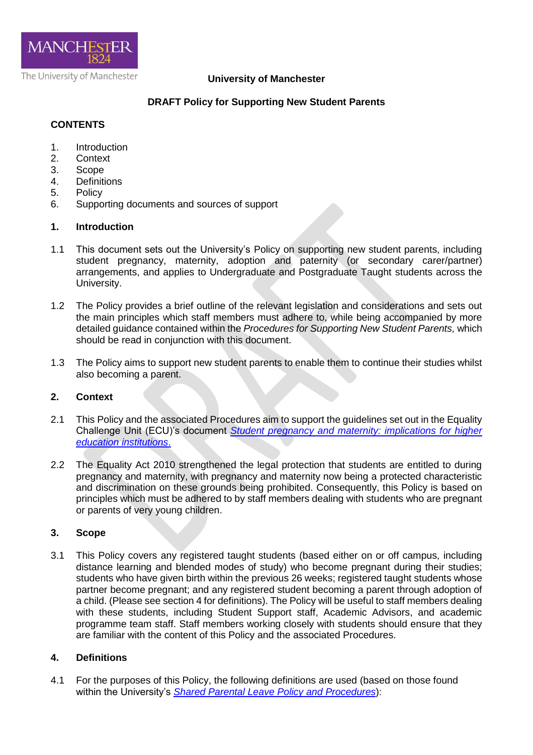

### **University of Manchester**

## **DRAFT Policy for Supporting New Student Parents**

#### **CONTENTS**

- 1. Introduction
- 2. Context
- 3. Scope
- 4. Definitions
- 5. Policy
- 6. Supporting documents and sources of support

#### **1. Introduction**

- 1.1 This document sets out the University's Policy on supporting new student parents, including student pregnancy, maternity, adoption and paternity (or secondary carer/partner) arrangements, and applies to Undergraduate and Postgraduate Taught students across the University.
- 1.2 The Policy provides a brief outline of the relevant legislation and considerations and sets out the main principles which staff members must adhere to, while being accompanied by more detailed guidance contained within the *Procedures for Supporting New Student Parents,* which should be read in conjunction with this document.
- 1.3 The Policy aims to support new student parents to enable them to continue their studies whilst also becoming a parent.

### **2. Context**

- 2.1 This Policy and the associated Procedures aim to support the guidelines set out in the Equality Challenge Unit (ECU)'s document *[Student pregnancy and maternity: implications for higher](http://www.ecu.ac.uk/publications/student-pregnancy-and-maternity/)  [education institutions](http://www.ecu.ac.uk/publications/student-pregnancy-and-maternity/)*.
- 2.2 The Equality Act 2010 strengthened the legal protection that students are entitled to during pregnancy and maternity, with pregnancy and maternity now being a protected characteristic and discrimination on these grounds being prohibited. Consequently, this Policy is based on principles which must be adhered to by staff members dealing with students who are pregnant or parents of very young children.

### **3. Scope**

3.1 This Policy covers any registered taught students (based either on or off campus, including distance learning and blended modes of study) who become pregnant during their studies; students who have given birth within the previous 26 weeks; registered taught students whose partner become pregnant; and any registered student becoming a parent through adoption of a child. (Please see section 4 for definitions). The Policy will be useful to staff members dealing with these students, including Student Support staff, Academic Advisors, and academic programme team staff. Staff members working closely with students should ensure that they are familiar with the content of this Policy and the associated Procedures.

#### **4. Definitions**

4.1 For the purposes of this Policy, the following definitions are used (based on those found within the University's *[Shared Parental Leave Policy and Procedures](http://documents.manchester.ac.uk/display.aspx?DocID=23896)*):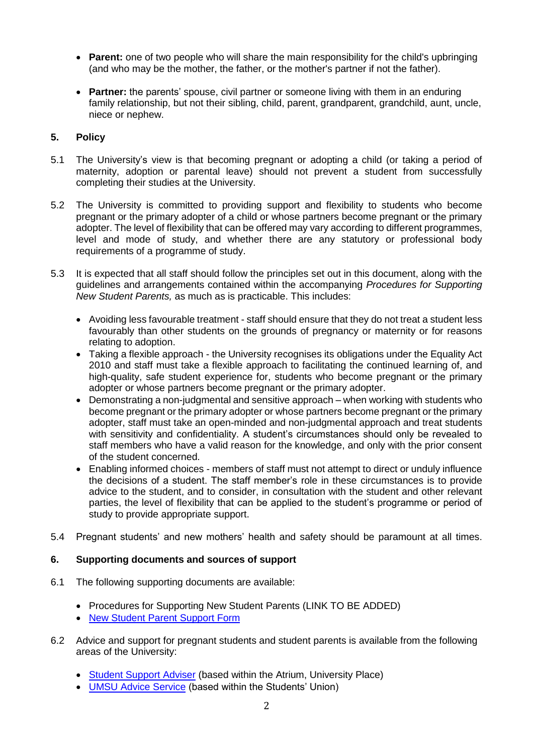- Parent: one of two people who will share the main responsibility for the child's upbringing (and who may be the mother, the father, or the mother's partner if not the father).
- **Partner:** the parents' spouse, civil partner or someone living with them in an enduring family relationship, but not their sibling, child, parent, grandparent, grandchild, aunt, uncle, niece or nephew.

# **5. Policy**

- 5.1 The University's view is that becoming pregnant or adopting a child (or taking a period of maternity, adoption or parental leave) should not prevent a student from successfully completing their studies at the University.
- 5.2 The University is committed to providing support and flexibility to students who become pregnant or the primary adopter of a child or whose partners become pregnant or the primary adopter. The level of flexibility that can be offered may vary according to different programmes, level and mode of study, and whether there are any statutory or professional body requirements of a programme of study.
- 5.3 It is expected that all staff should follow the principles set out in this document, along with the guidelines and arrangements contained within the accompanying *Procedures for Supporting New Student Parents,* as much as is practicable. This includes:
	- Avoiding less favourable treatment staff should ensure that they do not treat a student less favourably than other students on the grounds of pregnancy or maternity or for reasons relating to adoption.
	- Taking a flexible approach the University recognises its obligations under the Equality Act 2010 and staff must take a flexible approach to facilitating the continued learning of, and high-quality, safe student experience for, students who become pregnant or the primary adopter or whose partners become pregnant or the primary adopter.
	- Demonstrating a non-judgmental and sensitive approach when working with students who become pregnant or the primary adopter or whose partners become pregnant or the primary adopter, staff must take an open-minded and non-judgmental approach and treat students with sensitivity and confidentiality. A student's circumstances should only be revealed to staff members who have a valid reason for the knowledge, and only with the prior consent of the student concerned.
	- Enabling informed choices members of staff must not attempt to direct or unduly influence the decisions of a student. The staff member's role in these circumstances is to provide advice to the student, and to consider, in consultation with the student and other relevant parties, the level of flexibility that can be applied to the student's programme or period of study to provide appropriate support.
- 5.4 Pregnant students' and new mothers' health and safety should be paramount at all times.

# **6. Supporting documents and sources of support**

- 6.1 The following supporting documents are available:
	- Procedures for Supporting New Student Parents (LINK TO BE ADDED)
	- [New Student Parent Support Form](http://documents.manchester.ac.uk/display.aspx?DocID=11687)
- 6.2 Advice and support for pregnant students and student parents is available from the following areas of the University:
	- [Student Support Adviser](https://uomtheatrium.wordpress.com/student-support-adviser/) (based within the Atrium, University Place)
	- [UMSU Advice Service](http://manchesterstudentsunion.com/adviceservice) (based within the Students' Union)